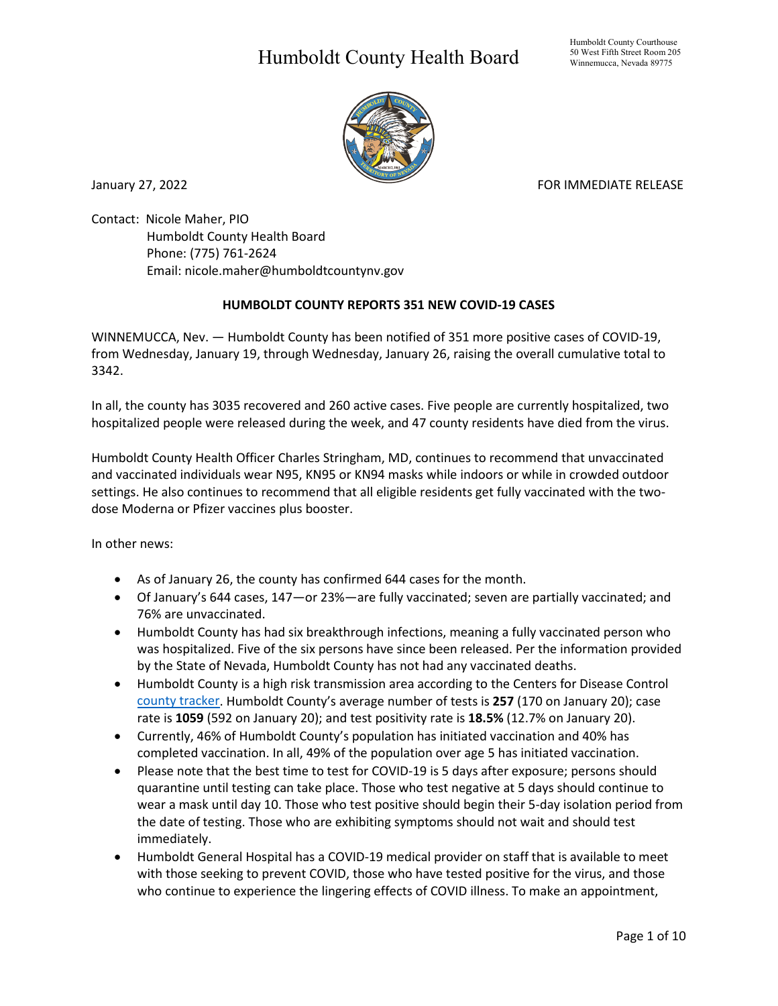## Humboldt County Health Board



January 27, 2022 **FOR IMMEDIATE RELEASE** 

Contact: Nicole Maher, PIO Humboldt County Health Board Phone: (775) 761-2624 Email: nicole.maher@humboldtcountynv.gov

## **HUMBOLDT COUNTY REPORTS 351 NEW COVID-19 CASES**

WINNEMUCCA, Nev. — Humboldt County has been notified of 351 more positive cases of COVID-19, from Wednesday, January 19, through Wednesday, January 26, raising the overall cumulative total to 3342.

In all, the county has 3035 recovered and 260 active cases. Five people are currently hospitalized, two hospitalized people were released during the week, and 47 county residents have died from the virus.

Humboldt County Health Officer Charles Stringham, MD, continues to recommend that unvaccinated and vaccinated individuals wear N95, KN95 or KN94 masks while indoors or while in crowded outdoor settings. He also continues to recommend that all eligible residents get fully vaccinated with the twodose Moderna or Pfizer vaccines plus booster.

In other news:

- As of January 26, the county has confirmed 644 cases for the month.
- Of January's 644 cases, 147—or 23%—are fully vaccinated; seven are partially vaccinated; and 76% are unvaccinated.
- Humboldt County has had six breakthrough infections, meaning a fully vaccinated person who was hospitalized. Five of the six persons have since been released. Per the information provided by the State of Nevada, Humboldt County has not had any vaccinated deaths.
- Humboldt County is a high risk transmission area according to the Centers for Disease Control [county tracker.](https://nvhealthresponse.nv.gov/current-status-mitigation-measures/) Humboldt County's average number of tests is **257** (170 on January 20); case rate is **1059** (592 on January 20); and test positivity rate is **18.5%** (12.7% on January 20).
- Currently, 46% of Humboldt County's population has initiated vaccination and 40% has completed vaccination. In all, 49% of the population over age 5 has initiated vaccination.
- Please note that the best time to test for COVID-19 is 5 days after exposure; persons should quarantine until testing can take place. Those who test negative at 5 days should continue to wear a mask until day 10. Those who test positive should begin their 5-day isolation period from the date of testing. Those who are exhibiting symptoms should not wait and should test immediately.
- Humboldt General Hospital has a COVID-19 medical provider on staff that is available to meet with those seeking to prevent COVID, those who have tested positive for the virus, and those who continue to experience the lingering effects of COVID illness. To make an appointment,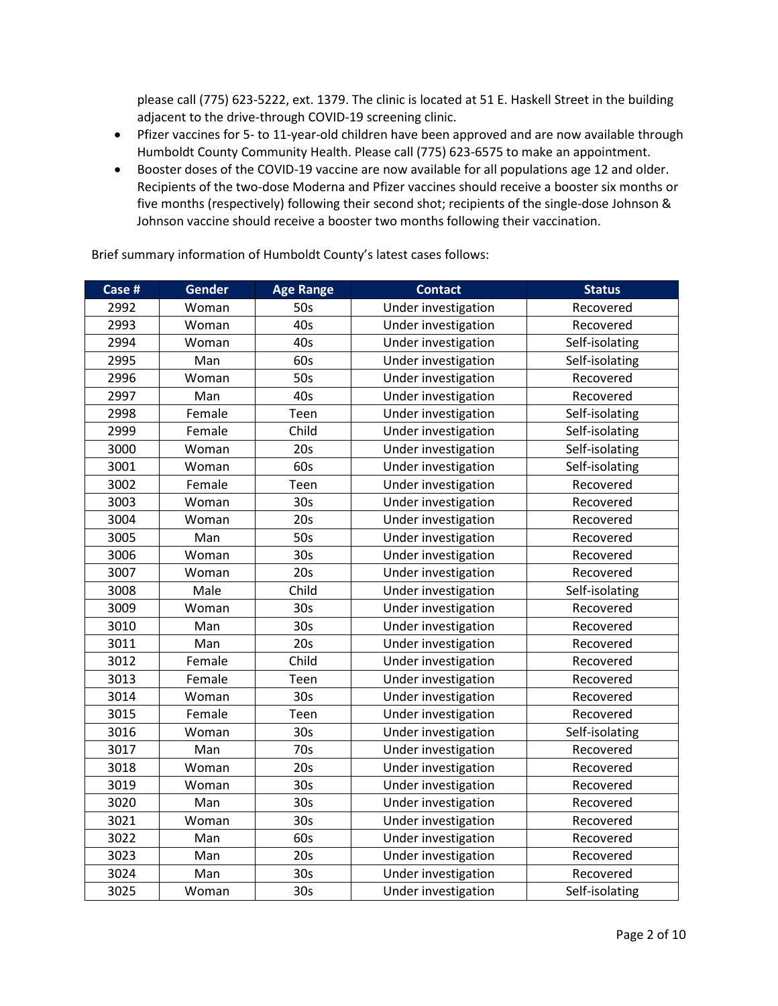please call (775) 623-5222, ext. 1379. The clinic is located at 51 E. Haskell Street in the building adjacent to the drive-through COVID-19 screening clinic.

- Pfizer vaccines for 5- to 11-year-old children have been approved and are now available through Humboldt County Community Health. Please call (775) 623-6575 to make an appointment.
- Booster doses of the COVID-19 vaccine are now available for all populations age 12 and older. Recipients of the two-dose Moderna and Pfizer vaccines should receive a booster six months or five months (respectively) following their second shot; recipients of the single-dose Johnson & Johnson vaccine should receive a booster two months following their vaccination.

| Case # | <b>Gender</b> | <b>Age Range</b> | <b>Contact</b>      | <b>Status</b>  |
|--------|---------------|------------------|---------------------|----------------|
| 2992   | Woman         | 50s              | Under investigation | Recovered      |
| 2993   | Woman         | 40s              | Under investigation | Recovered      |
| 2994   | Woman         | 40s              | Under investigation | Self-isolating |
| 2995   | Man           | 60s              | Under investigation | Self-isolating |
| 2996   | Woman         | 50s              | Under investigation | Recovered      |
| 2997   | Man           | 40s              | Under investigation | Recovered      |
| 2998   | Female        | Teen             | Under investigation | Self-isolating |
| 2999   | Female        | Child            | Under investigation | Self-isolating |
| 3000   | Woman         | 20s              | Under investigation | Self-isolating |
| 3001   | Woman         | 60s              | Under investigation | Self-isolating |
| 3002   | Female        | Teen             | Under investigation | Recovered      |
| 3003   | Woman         | 30 <sub>s</sub>  | Under investigation | Recovered      |
| 3004   | Woman         | 20s              | Under investigation | Recovered      |
| 3005   | Man           | 50s              | Under investigation | Recovered      |
| 3006   | Woman         | 30 <sub>s</sub>  | Under investigation | Recovered      |
| 3007   | Woman         | 20s              | Under investigation | Recovered      |
| 3008   | Male          | Child            | Under investigation | Self-isolating |
| 3009   | Woman         | 30s              | Under investigation | Recovered      |
| 3010   | Man           | 30 <sub>s</sub>  | Under investigation | Recovered      |
| 3011   | Man           | 20s              | Under investigation | Recovered      |
| 3012   | Female        | Child            | Under investigation | Recovered      |
| 3013   | Female        | Teen             | Under investigation | Recovered      |
| 3014   | Woman         | 30 <sub>s</sub>  | Under investigation | Recovered      |
| 3015   | Female        | Teen             | Under investigation | Recovered      |
| 3016   | Woman         | 30 <sub>s</sub>  | Under investigation | Self-isolating |
| 3017   | Man           | 70s              | Under investigation | Recovered      |
| 3018   | Woman         | 20s              | Under investigation | Recovered      |
| 3019   | Woman         | 30 <sub>s</sub>  | Under investigation | Recovered      |
| 3020   | Man           | 30s              | Under investigation | Recovered      |
| 3021   | Woman         | 30 <sub>s</sub>  | Under investigation | Recovered      |
| 3022   | Man           | 60s              | Under investigation | Recovered      |
| 3023   | Man           | 20s              | Under investigation | Recovered      |
| 3024   | Man           | 30s              | Under investigation | Recovered      |
| 3025   | Woman         | 30 <sub>s</sub>  | Under investigation | Self-isolating |

Brief summary information of Humboldt County's latest cases follows: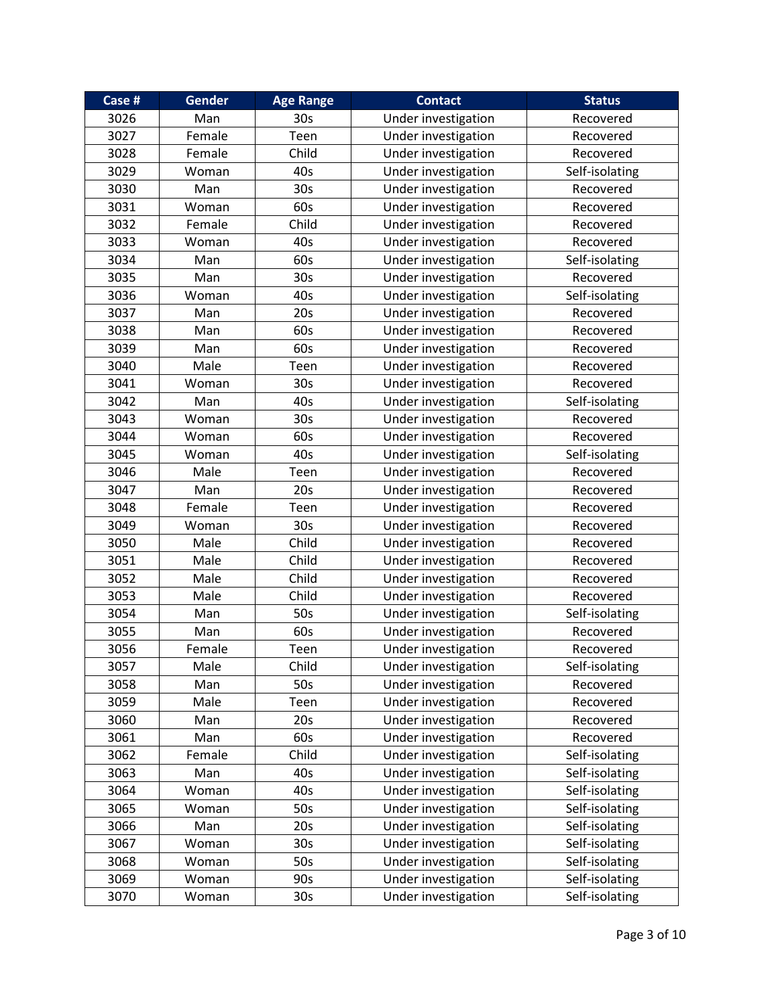| Case # | Gender | <b>Age Range</b> | <b>Contact</b>      | <b>Status</b>  |
|--------|--------|------------------|---------------------|----------------|
| 3026   | Man    | 30s              | Under investigation | Recovered      |
| 3027   | Female | Teen             | Under investigation | Recovered      |
| 3028   | Female | Child            | Under investigation | Recovered      |
| 3029   | Woman  | 40s              | Under investigation | Self-isolating |
| 3030   | Man    | 30 <sub>s</sub>  | Under investigation | Recovered      |
| 3031   | Woman  | 60s              | Under investigation | Recovered      |
| 3032   | Female | Child            | Under investigation | Recovered      |
| 3033   | Woman  | 40s              | Under investigation | Recovered      |
| 3034   | Man    | 60s              | Under investigation | Self-isolating |
| 3035   | Man    | 30 <sub>s</sub>  | Under investigation | Recovered      |
| 3036   | Woman  | 40s              | Under investigation | Self-isolating |
| 3037   | Man    | 20s              | Under investigation | Recovered      |
| 3038   | Man    | 60s              | Under investigation | Recovered      |
| 3039   | Man    | 60s              | Under investigation | Recovered      |
| 3040   | Male   | Teen             | Under investigation | Recovered      |
| 3041   | Woman  | 30 <sub>s</sub>  | Under investigation | Recovered      |
| 3042   | Man    | 40s              | Under investigation | Self-isolating |
| 3043   | Woman  | 30s              | Under investigation | Recovered      |
| 3044   | Woman  | 60s              | Under investigation | Recovered      |
| 3045   | Woman  | 40s              | Under investigation | Self-isolating |
| 3046   | Male   | Teen             | Under investigation | Recovered      |
| 3047   | Man    | 20s              | Under investigation | Recovered      |
| 3048   | Female | Teen             | Under investigation | Recovered      |
| 3049   | Woman  | 30s              | Under investigation | Recovered      |
| 3050   | Male   | Child            | Under investigation | Recovered      |
| 3051   | Male   | Child            | Under investigation | Recovered      |
| 3052   | Male   | Child            | Under investigation | Recovered      |
| 3053   | Male   | Child            | Under investigation | Recovered      |
| 3054   | Man    | 50s              | Under investigation | Self-isolating |
| 3055   | Man    | 60s              | Under investigation | Recovered      |
| 3056   | Female | Teen             | Under investigation | Recovered      |
| 3057   | Male   | Child            | Under investigation | Self-isolating |
| 3058   | Man    | 50s              | Under investigation | Recovered      |
| 3059   | Male   | Teen             | Under investigation | Recovered      |
| 3060   | Man    | 20s              | Under investigation | Recovered      |
| 3061   | Man    | 60s              | Under investigation | Recovered      |
| 3062   | Female | Child            | Under investigation | Self-isolating |
| 3063   | Man    | 40s              | Under investigation | Self-isolating |
| 3064   | Woman  | 40s              | Under investigation | Self-isolating |
| 3065   | Woman  | 50s              | Under investigation | Self-isolating |
| 3066   | Man    | 20s              | Under investigation | Self-isolating |
| 3067   | Woman  | 30 <sub>s</sub>  | Under investigation | Self-isolating |
| 3068   | Woman  | 50s              | Under investigation | Self-isolating |
| 3069   | Woman  | 90s              | Under investigation | Self-isolating |
| 3070   | Woman  | 30 <sub>s</sub>  | Under investigation | Self-isolating |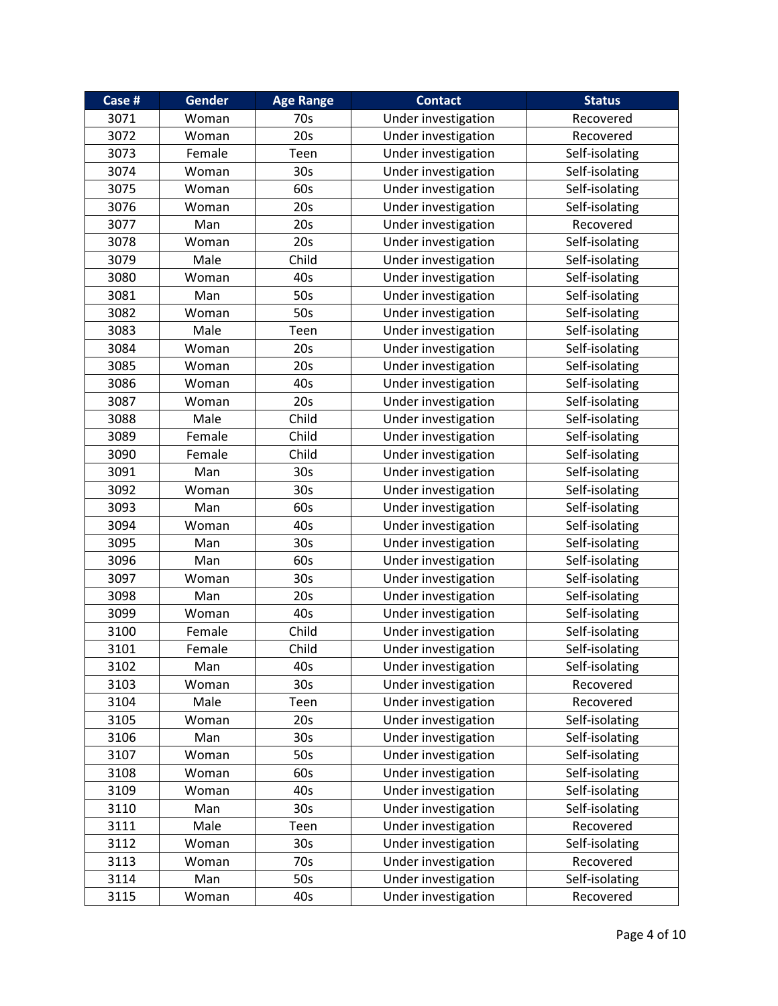| Case # | Gender | <b>Age Range</b> | <b>Contact</b>      | <b>Status</b>  |
|--------|--------|------------------|---------------------|----------------|
| 3071   | Woman  | 70s              | Under investigation | Recovered      |
| 3072   | Woman  | 20s              | Under investigation | Recovered      |
| 3073   | Female | Teen             | Under investigation | Self-isolating |
| 3074   | Woman  | 30s              | Under investigation | Self-isolating |
| 3075   | Woman  | 60s              | Under investigation | Self-isolating |
| 3076   | Woman  | 20s              | Under investigation | Self-isolating |
| 3077   | Man    | 20s              | Under investigation | Recovered      |
| 3078   | Woman  | 20s              | Under investigation | Self-isolating |
| 3079   | Male   | Child            | Under investigation | Self-isolating |
| 3080   | Woman  | 40s              | Under investigation | Self-isolating |
| 3081   | Man    | 50s              | Under investigation | Self-isolating |
| 3082   | Woman  | 50s              | Under investigation | Self-isolating |
| 3083   | Male   | Teen             | Under investigation | Self-isolating |
| 3084   | Woman  | 20s              | Under investigation | Self-isolating |
| 3085   | Woman  | 20s              | Under investigation | Self-isolating |
| 3086   | Woman  | 40s              | Under investigation | Self-isolating |
| 3087   | Woman  | 20s              | Under investigation | Self-isolating |
| 3088   | Male   | Child            | Under investigation | Self-isolating |
| 3089   | Female | Child            | Under investigation | Self-isolating |
| 3090   | Female | Child            | Under investigation | Self-isolating |
| 3091   | Man    | 30s              | Under investigation | Self-isolating |
| 3092   | Woman  | 30 <sub>s</sub>  | Under investigation | Self-isolating |
| 3093   | Man    | 60s              | Under investigation | Self-isolating |
| 3094   | Woman  | 40s              | Under investigation | Self-isolating |
| 3095   | Man    | 30s              | Under investigation | Self-isolating |
| 3096   | Man    | 60s              | Under investigation | Self-isolating |
| 3097   | Woman  | 30s              | Under investigation | Self-isolating |
| 3098   | Man    | 20s              | Under investigation | Self-isolating |
| 3099   | Woman  | 40s              | Under investigation | Self-isolating |
| 3100   | Female | Child            | Under investigation | Self-isolating |
| 3101   | Female | Child            | Under investigation | Self-isolating |
| 3102   | Man    | 40s              | Under investigation | Self-isolating |
| 3103   | Woman  | 30 <sub>s</sub>  | Under investigation | Recovered      |
| 3104   | Male   | Teen             | Under investigation | Recovered      |
| 3105   | Woman  | 20s              | Under investigation | Self-isolating |
| 3106   | Man    | 30 <sub>s</sub>  | Under investigation | Self-isolating |
| 3107   | Woman  | 50s              | Under investigation | Self-isolating |
| 3108   | Woman  | 60s              | Under investigation | Self-isolating |
| 3109   | Woman  | 40s              | Under investigation | Self-isolating |
| 3110   | Man    | 30 <sub>s</sub>  | Under investigation | Self-isolating |
| 3111   | Male   | Teen             | Under investigation | Recovered      |
| 3112   | Woman  | 30 <sub>s</sub>  | Under investigation | Self-isolating |
| 3113   | Woman  | 70s              | Under investigation | Recovered      |
| 3114   | Man    | 50s              | Under investigation | Self-isolating |
| 3115   | Woman  | 40s              | Under investigation | Recovered      |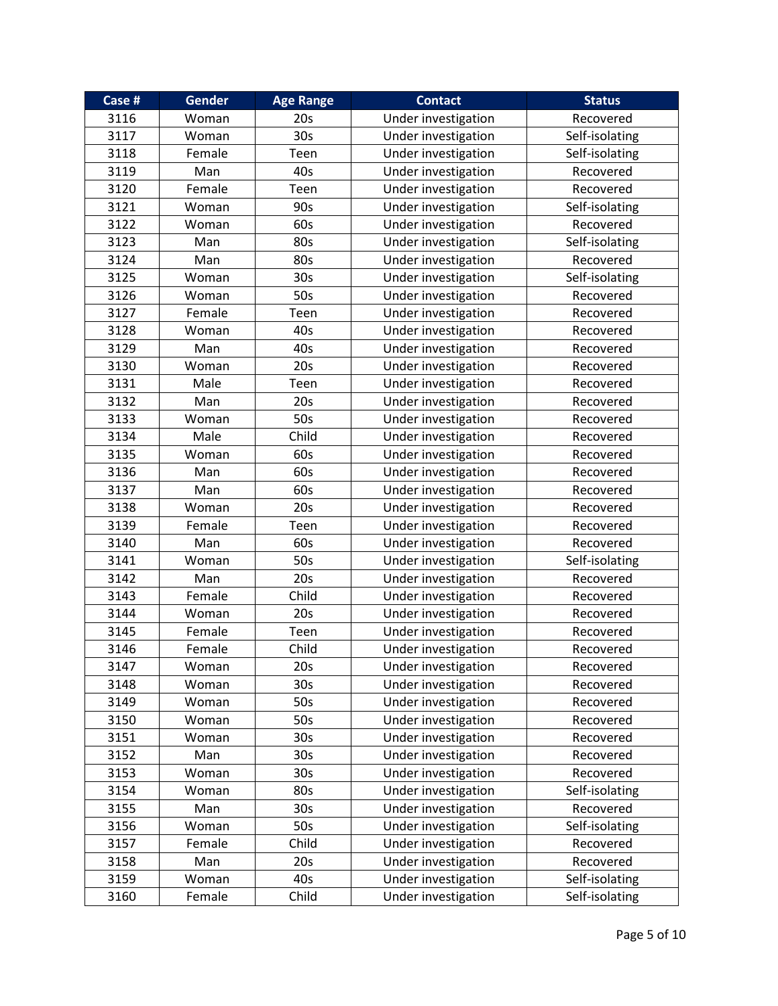| Case # | <b>Gender</b> | <b>Age Range</b> | <b>Contact</b>      | <b>Status</b>  |
|--------|---------------|------------------|---------------------|----------------|
| 3116   | Woman         | 20s              | Under investigation | Recovered      |
| 3117   | Woman         | 30s              | Under investigation | Self-isolating |
| 3118   | Female        | Teen             | Under investigation | Self-isolating |
| 3119   | Man           | 40s              | Under investigation | Recovered      |
| 3120   | Female        | Teen             | Under investigation | Recovered      |
| 3121   | Woman         | 90s              | Under investigation | Self-isolating |
| 3122   | Woman         | 60s              | Under investigation | Recovered      |
| 3123   | Man           | 80s              | Under investigation | Self-isolating |
| 3124   | Man           | 80s              | Under investigation | Recovered      |
| 3125   | Woman         | 30 <sub>s</sub>  | Under investigation | Self-isolating |
| 3126   | Woman         | 50s              | Under investigation | Recovered      |
| 3127   | Female        | Teen             | Under investigation | Recovered      |
| 3128   | Woman         | 40s              | Under investigation | Recovered      |
| 3129   | Man           | 40s              | Under investigation | Recovered      |
| 3130   | Woman         | 20s              | Under investigation | Recovered      |
| 3131   | Male          | Teen             | Under investigation | Recovered      |
| 3132   | Man           | 20s              | Under investigation | Recovered      |
| 3133   | Woman         | 50s              | Under investigation | Recovered      |
| 3134   | Male          | Child            | Under investigation | Recovered      |
| 3135   | Woman         | 60s              | Under investigation | Recovered      |
| 3136   | Man           | 60s              | Under investigation | Recovered      |
| 3137   | Man           | 60s              | Under investigation | Recovered      |
| 3138   | Woman         | 20s              | Under investigation | Recovered      |
| 3139   | Female        | Teen             | Under investigation | Recovered      |
| 3140   | Man           | 60s              | Under investigation | Recovered      |
| 3141   | Woman         | 50s              | Under investigation | Self-isolating |
| 3142   | Man           | 20s              | Under investigation | Recovered      |
| 3143   | Female        | Child            | Under investigation | Recovered      |
| 3144   | Woman         | 20s              | Under investigation | Recovered      |
| 3145   | Female        | Teen             | Under investigation | Recovered      |
| 3146   | Female        | Child            | Under investigation | Recovered      |
| 3147   | Woman         | 20s              | Under investigation | Recovered      |
| 3148   | Woman         | 30s              | Under investigation | Recovered      |
| 3149   | Woman         | 50s              | Under investigation | Recovered      |
| 3150   | Woman         | 50s              | Under investigation | Recovered      |
| 3151   | Woman         | 30s              | Under investigation | Recovered      |
| 3152   | Man           | 30 <sub>s</sub>  | Under investigation | Recovered      |
| 3153   | Woman         | 30 <sub>s</sub>  | Under investigation | Recovered      |
| 3154   | Woman         | 80s              | Under investigation | Self-isolating |
| 3155   | Man           | 30s              | Under investigation | Recovered      |
| 3156   | Woman         | 50s              | Under investigation | Self-isolating |
| 3157   | Female        | Child            | Under investigation | Recovered      |
| 3158   | Man           | 20s              | Under investigation | Recovered      |
| 3159   | Woman         | 40s              | Under investigation | Self-isolating |
| 3160   | Female        | Child            | Under investigation | Self-isolating |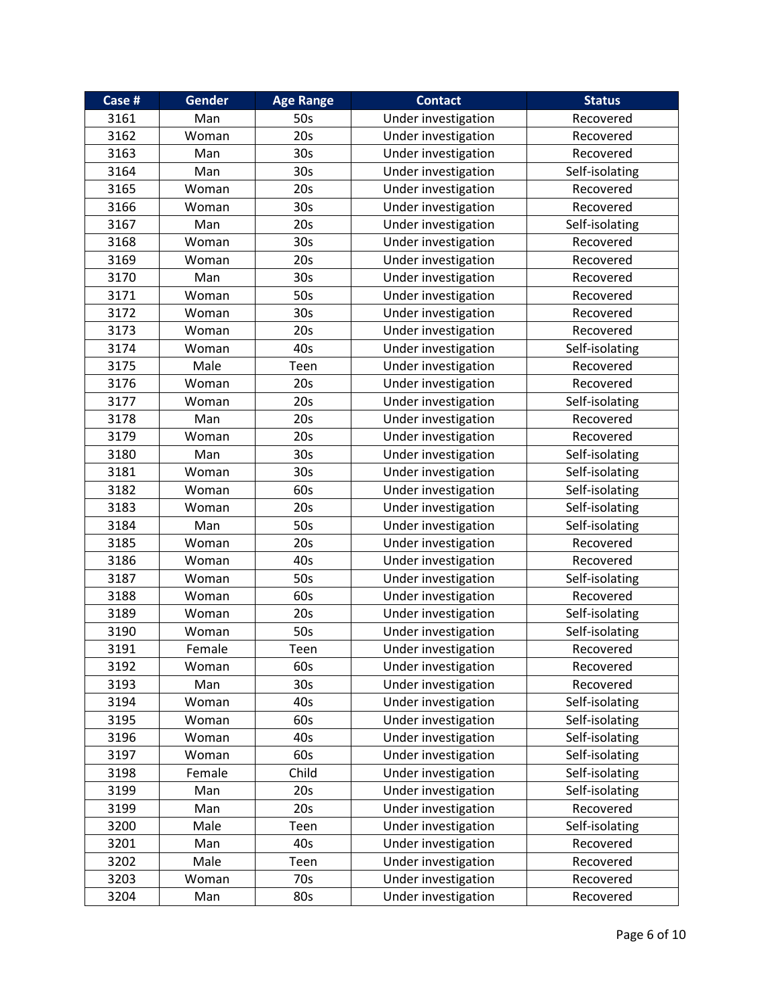| Case # | Gender | <b>Age Range</b> | <b>Contact</b>      | <b>Status</b>  |
|--------|--------|------------------|---------------------|----------------|
| 3161   | Man    | 50s              | Under investigation | Recovered      |
| 3162   | Woman  | 20s              | Under investigation | Recovered      |
| 3163   | Man    | 30s              | Under investigation | Recovered      |
| 3164   | Man    | 30 <sub>s</sub>  | Under investigation | Self-isolating |
| 3165   | Woman  | 20s              | Under investigation | Recovered      |
| 3166   | Woman  | 30s              | Under investigation | Recovered      |
| 3167   | Man    | 20s              | Under investigation | Self-isolating |
| 3168   | Woman  | 30s              | Under investigation | Recovered      |
| 3169   | Woman  | 20s              | Under investigation | Recovered      |
| 3170   | Man    | 30 <sub>s</sub>  | Under investigation | Recovered      |
| 3171   | Woman  | 50s              | Under investigation | Recovered      |
| 3172   | Woman  | 30s              | Under investigation | Recovered      |
| 3173   | Woman  | 20s              | Under investigation | Recovered      |
| 3174   | Woman  | 40s              | Under investigation | Self-isolating |
| 3175   | Male   | Teen             | Under investigation | Recovered      |
| 3176   | Woman  | 20s              | Under investigation | Recovered      |
| 3177   | Woman  | 20s              | Under investigation | Self-isolating |
| 3178   | Man    | 20s              | Under investigation | Recovered      |
| 3179   | Woman  | 20s              | Under investigation | Recovered      |
| 3180   | Man    | 30s              | Under investigation | Self-isolating |
| 3181   | Woman  | 30s              | Under investigation | Self-isolating |
| 3182   | Woman  | 60s              | Under investigation | Self-isolating |
| 3183   | Woman  | 20s              | Under investigation | Self-isolating |
| 3184   | Man    | 50s              | Under investigation | Self-isolating |
| 3185   | Woman  | 20s              | Under investigation | Recovered      |
| 3186   | Woman  | 40s              | Under investigation | Recovered      |
| 3187   | Woman  | 50s              | Under investigation | Self-isolating |
| 3188   | Woman  | 60s              | Under investigation | Recovered      |
| 3189   | Woman  | 20s              | Under investigation | Self-isolating |
| 3190   | Woman  | 50s              | Under investigation | Self-isolating |
| 3191   | Female | Teen             | Under investigation | Recovered      |
| 3192   | Woman  | 60s              | Under investigation | Recovered      |
| 3193   | Man    | 30s              | Under investigation | Recovered      |
| 3194   | Woman  | 40s              | Under investigation | Self-isolating |
| 3195   | Woman  | 60s              | Under investigation | Self-isolating |
| 3196   | Woman  | 40s              | Under investigation | Self-isolating |
| 3197   | Woman  | 60s              | Under investigation | Self-isolating |
| 3198   | Female | Child            | Under investigation | Self-isolating |
| 3199   | Man    | 20s              | Under investigation | Self-isolating |
| 3199   | Man    | 20s              | Under investigation | Recovered      |
| 3200   | Male   | Teen             | Under investigation | Self-isolating |
| 3201   | Man    | 40s              | Under investigation | Recovered      |
| 3202   | Male   | Teen             | Under investigation | Recovered      |
| 3203   | Woman  | 70s              | Under investigation | Recovered      |
| 3204   | Man    | 80s              | Under investigation | Recovered      |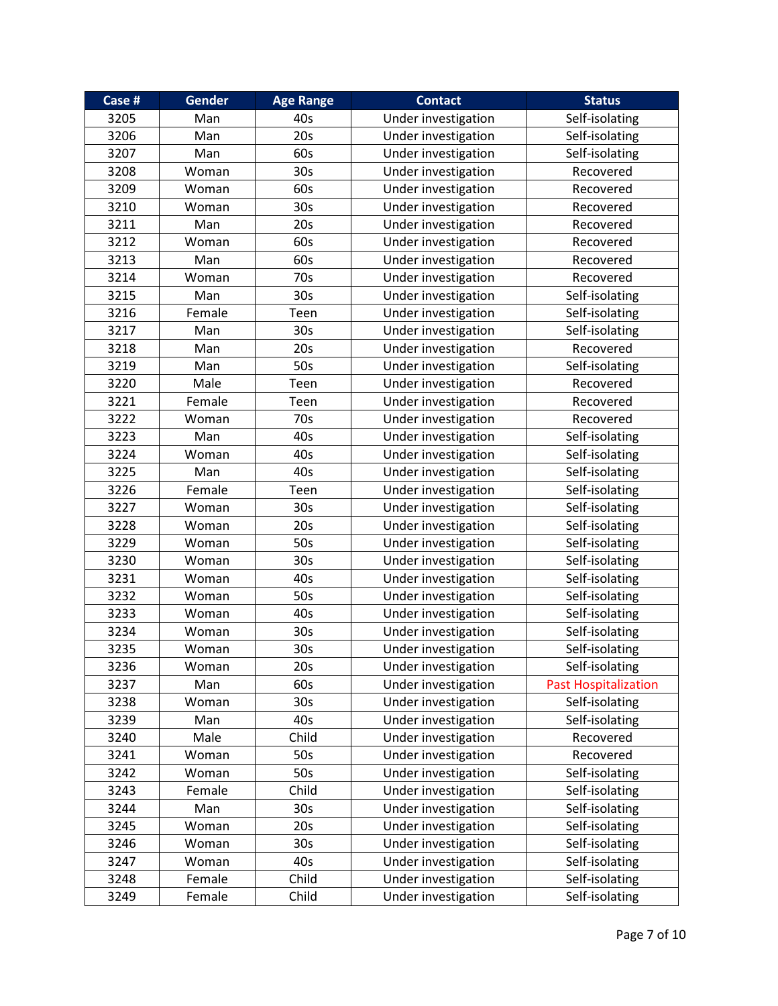| Case # | Gender | <b>Age Range</b> | <b>Contact</b>      | <b>Status</b>               |
|--------|--------|------------------|---------------------|-----------------------------|
| 3205   | Man    | 40s              | Under investigation | Self-isolating              |
| 3206   | Man    | 20s              | Under investigation | Self-isolating              |
| 3207   | Man    | 60s              | Under investigation | Self-isolating              |
| 3208   | Woman  | 30s              | Under investigation | Recovered                   |
| 3209   | Woman  | 60s              | Under investigation | Recovered                   |
| 3210   | Woman  | 30s              | Under investigation | Recovered                   |
| 3211   | Man    | 20s              | Under investigation | Recovered                   |
| 3212   | Woman  | 60s              | Under investigation | Recovered                   |
| 3213   | Man    | 60s              | Under investigation | Recovered                   |
| 3214   | Woman  | 70s              | Under investigation | Recovered                   |
| 3215   | Man    | 30s              | Under investigation | Self-isolating              |
| 3216   | Female | Teen             | Under investigation | Self-isolating              |
| 3217   | Man    | 30 <sub>s</sub>  | Under investigation | Self-isolating              |
| 3218   | Man    | 20s              | Under investigation | Recovered                   |
| 3219   | Man    | 50s              | Under investigation | Self-isolating              |
| 3220   | Male   | Teen             | Under investigation | Recovered                   |
| 3221   | Female | Teen             | Under investigation | Recovered                   |
| 3222   | Woman  | 70s              | Under investigation | Recovered                   |
| 3223   | Man    | 40s              | Under investigation | Self-isolating              |
| 3224   | Woman  | 40s              | Under investigation | Self-isolating              |
| 3225   | Man    | 40s              | Under investigation | Self-isolating              |
| 3226   | Female | Teen             | Under investigation | Self-isolating              |
| 3227   | Woman  | 30 <sub>s</sub>  | Under investigation | Self-isolating              |
| 3228   | Woman  | 20s              | Under investigation | Self-isolating              |
| 3229   | Woman  | 50s              | Under investigation | Self-isolating              |
| 3230   | Woman  | 30 <sub>s</sub>  | Under investigation | Self-isolating              |
| 3231   | Woman  | 40s              | Under investigation | Self-isolating              |
| 3232   | Woman  | 50s              | Under investigation | Self-isolating              |
| 3233   | Woman  | 40s              | Under investigation | Self-isolating              |
| 3234   | Woman  | 30 <sub>s</sub>  | Under investigation | Self-isolating              |
| 3235   | Woman  | 30 <sub>s</sub>  | Under investigation | Self-isolating              |
| 3236   | Woman  | 20s              | Under investigation | Self-isolating              |
| 3237   | Man    | 60s              | Under investigation | <b>Past Hospitalization</b> |
| 3238   | Woman  | 30 <sub>s</sub>  | Under investigation | Self-isolating              |
| 3239   | Man    | 40s              | Under investigation | Self-isolating              |
| 3240   | Male   | Child            | Under investigation | Recovered                   |
| 3241   | Woman  | 50s              | Under investigation | Recovered                   |
| 3242   | Woman  | 50s              | Under investigation | Self-isolating              |
| 3243   | Female | Child            | Under investigation | Self-isolating              |
| 3244   | Man    | 30 <sub>s</sub>  | Under investigation | Self-isolating              |
| 3245   | Woman  | 20s              | Under investigation | Self-isolating              |
| 3246   | Woman  | 30 <sub>s</sub>  | Under investigation | Self-isolating              |
| 3247   | Woman  | 40s              | Under investigation | Self-isolating              |
| 3248   | Female | Child            | Under investigation | Self-isolating              |
| 3249   | Female | Child            | Under investigation | Self-isolating              |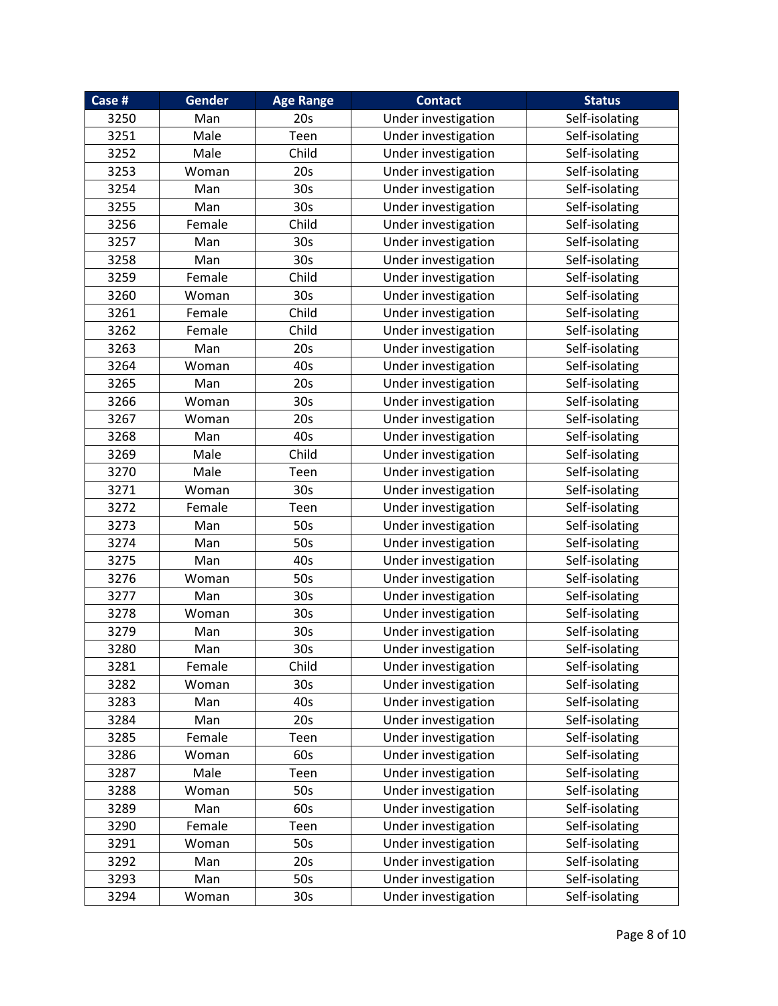| Case # | <b>Gender</b> | <b>Age Range</b> | <b>Contact</b>      | <b>Status</b>  |
|--------|---------------|------------------|---------------------|----------------|
| 3250   | Man           | 20s              | Under investigation | Self-isolating |
| 3251   | Male          | Teen             | Under investigation | Self-isolating |
| 3252   | Male          | Child            | Under investigation | Self-isolating |
| 3253   | Woman         | 20s              | Under investigation | Self-isolating |
| 3254   | Man           | 30 <sub>s</sub>  | Under investigation | Self-isolating |
| 3255   | Man           | 30s              | Under investigation | Self-isolating |
| 3256   | Female        | Child            | Under investigation | Self-isolating |
| 3257   | Man           | 30s              | Under investigation | Self-isolating |
| 3258   | Man           | 30 <sub>s</sub>  | Under investigation | Self-isolating |
| 3259   | Female        | Child            | Under investigation | Self-isolating |
| 3260   | Woman         | 30 <sub>s</sub>  | Under investigation | Self-isolating |
| 3261   | Female        | Child            | Under investigation | Self-isolating |
| 3262   | Female        | Child            | Under investigation | Self-isolating |
| 3263   | Man           | 20s              | Under investigation | Self-isolating |
| 3264   | Woman         | 40s              | Under investigation | Self-isolating |
| 3265   | Man           | 20s              | Under investigation | Self-isolating |
| 3266   | Woman         | 30s              | Under investigation | Self-isolating |
| 3267   | Woman         | 20s              | Under investigation | Self-isolating |
| 3268   | Man           | 40s              | Under investigation | Self-isolating |
| 3269   | Male          | Child            | Under investigation | Self-isolating |
| 3270   | Male          | Teen             | Under investigation | Self-isolating |
| 3271   | Woman         | 30s              | Under investigation | Self-isolating |
| 3272   | Female        | Teen             | Under investigation | Self-isolating |
| 3273   | Man           | 50s              | Under investigation | Self-isolating |
| 3274   | Man           | 50s              | Under investigation | Self-isolating |
| 3275   | Man           | 40s              | Under investigation | Self-isolating |
| 3276   | Woman         | 50s              | Under investigation | Self-isolating |
| 3277   | Man           | 30 <sub>s</sub>  | Under investigation | Self-isolating |
| 3278   | Woman         | 30s              | Under investigation | Self-isolating |
| 3279   | Man           | 30s              | Under investigation | Self-isolating |
| 3280   | Man           | 30 <sub>s</sub>  | Under investigation | Self-isolating |
| 3281   | Female        | Child            | Under investigation | Self-isolating |
| 3282   | Woman         | 30s              | Under investigation | Self-isolating |
| 3283   | Man           | 40s              | Under investigation | Self-isolating |
| 3284   | Man           | 20s              | Under investigation | Self-isolating |
| 3285   | Female        | Teen             | Under investigation | Self-isolating |
| 3286   | Woman         | 60s              | Under investigation | Self-isolating |
| 3287   | Male          | Teen             | Under investigation | Self-isolating |
| 3288   | Woman         | 50s              | Under investigation | Self-isolating |
| 3289   | Man           | 60s              | Under investigation | Self-isolating |
| 3290   | Female        | Teen             | Under investigation | Self-isolating |
| 3291   | Woman         | 50s              | Under investigation | Self-isolating |
| 3292   | Man           | 20s              | Under investigation | Self-isolating |
| 3293   | Man           | 50s              | Under investigation | Self-isolating |
| 3294   | Woman         | 30 <sub>s</sub>  | Under investigation | Self-isolating |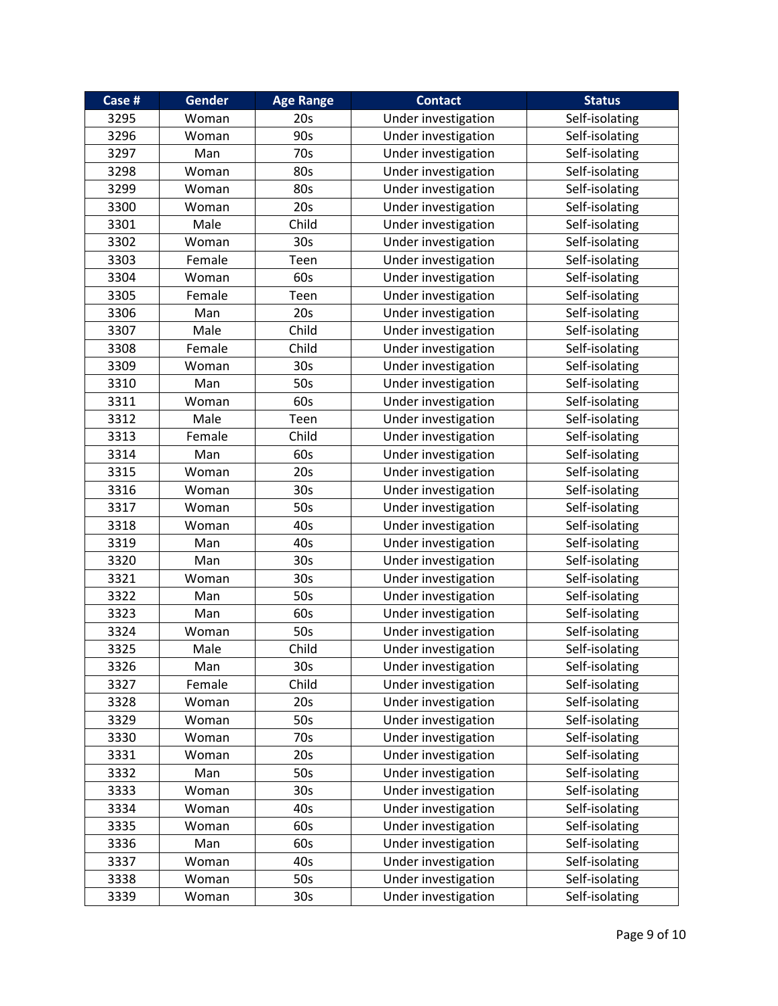| Case # | Gender | <b>Age Range</b> | <b>Contact</b>      | <b>Status</b>  |
|--------|--------|------------------|---------------------|----------------|
| 3295   | Woman  | 20s              | Under investigation | Self-isolating |
| 3296   | Woman  | 90s              | Under investigation | Self-isolating |
| 3297   | Man    | 70s              | Under investigation | Self-isolating |
| 3298   | Woman  | 80s              | Under investigation | Self-isolating |
| 3299   | Woman  | 80s              | Under investigation | Self-isolating |
| 3300   | Woman  | 20s              | Under investigation | Self-isolating |
| 3301   | Male   | Child            | Under investigation | Self-isolating |
| 3302   | Woman  | 30s              | Under investigation | Self-isolating |
| 3303   | Female | Teen             | Under investigation | Self-isolating |
| 3304   | Woman  | 60s              | Under investigation | Self-isolating |
| 3305   | Female | Teen             | Under investigation | Self-isolating |
| 3306   | Man    | 20s              | Under investigation | Self-isolating |
| 3307   | Male   | Child            | Under investigation | Self-isolating |
| 3308   | Female | Child            | Under investigation | Self-isolating |
| 3309   | Woman  | 30s              | Under investigation | Self-isolating |
| 3310   | Man    | 50s              | Under investigation | Self-isolating |
| 3311   | Woman  | 60s              | Under investigation | Self-isolating |
| 3312   | Male   | Teen             | Under investigation | Self-isolating |
| 3313   | Female | Child            | Under investigation | Self-isolating |
| 3314   | Man    | 60s              | Under investigation | Self-isolating |
| 3315   | Woman  | 20s              | Under investigation | Self-isolating |
| 3316   | Woman  | 30 <sub>s</sub>  | Under investigation | Self-isolating |
| 3317   | Woman  | 50s              | Under investigation | Self-isolating |
| 3318   | Woman  | 40s              | Under investigation | Self-isolating |
| 3319   | Man    | 40s              | Under investigation | Self-isolating |
| 3320   | Man    | 30 <sub>s</sub>  | Under investigation | Self-isolating |
| 3321   | Woman  | 30s              | Under investigation | Self-isolating |
| 3322   | Man    | 50s              | Under investigation | Self-isolating |
| 3323   | Man    | 60s              | Under investigation | Self-isolating |
| 3324   | Woman  | 50s              | Under investigation | Self-isolating |
| 3325   | Male   | Child            | Under investigation | Self-isolating |
| 3326   | Man    | 30 <sub>s</sub>  | Under investigation | Self-isolating |
| 3327   | Female | Child            | Under investigation | Self-isolating |
| 3328   | Woman  | 20s              | Under investigation | Self-isolating |
| 3329   | Woman  | 50s              | Under investigation | Self-isolating |
| 3330   | Woman  | 70s              | Under investigation | Self-isolating |
| 3331   | Woman  | 20s              | Under investigation | Self-isolating |
| 3332   | Man    | 50s              | Under investigation | Self-isolating |
| 3333   | Woman  | 30s              | Under investigation | Self-isolating |
| 3334   | Woman  | 40s              | Under investigation | Self-isolating |
| 3335   | Woman  | 60s              | Under investigation | Self-isolating |
| 3336   | Man    | 60s              | Under investigation | Self-isolating |
| 3337   | Woman  | 40s              | Under investigation | Self-isolating |
| 3338   | Woman  | 50s              | Under investigation | Self-isolating |
| 3339   | Woman  | 30 <sub>s</sub>  | Under investigation | Self-isolating |